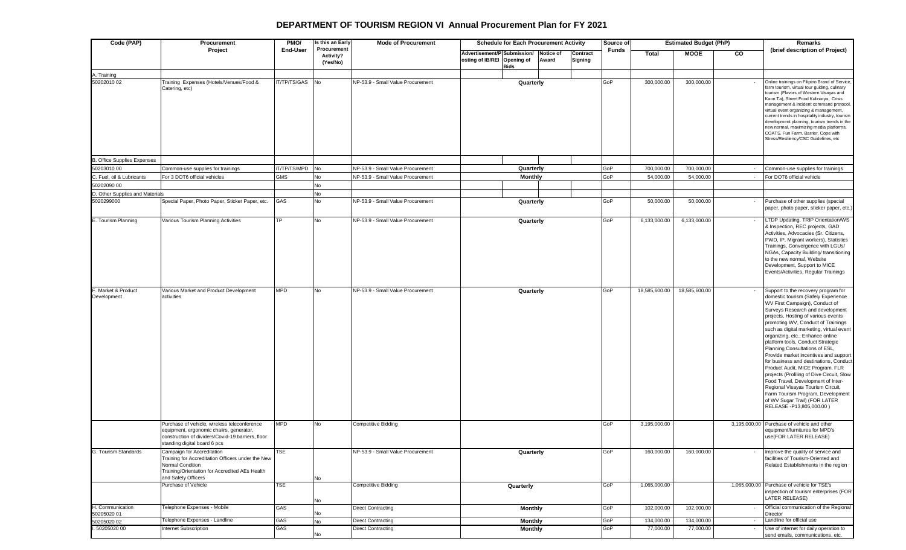## **DEPARTMENT OF TOURISM REGION VI Annual Procurement Plan for FY 2021**

| Code (PAP)                         | Procurement                                                                                                                                                                   | PMO/            | Is this an Early<br>Procurement | <b>Mode of Procurement</b>               | <b>Schedule for Each Procurement Activity</b>              |                |                           |                     | Source of    | <b>Estimated Budget (PhP)</b> |               |                          | Remarks                                                                                                                                                                                                                                                                                                                                                                                                                                                                                                                                                                                                                                                                                                                               |
|------------------------------------|-------------------------------------------------------------------------------------------------------------------------------------------------------------------------------|-----------------|---------------------------------|------------------------------------------|------------------------------------------------------------|----------------|---------------------------|---------------------|--------------|-------------------------------|---------------|--------------------------|---------------------------------------------------------------------------------------------------------------------------------------------------------------------------------------------------------------------------------------------------------------------------------------------------------------------------------------------------------------------------------------------------------------------------------------------------------------------------------------------------------------------------------------------------------------------------------------------------------------------------------------------------------------------------------------------------------------------------------------|
|                                    | Project                                                                                                                                                                       | End-User        | <b>Activity?</b><br>(Yes/No)    |                                          | Advertisement/P Submission/<br>osting of IB/REI Opening of | <b>Bids</b>    | <b>Notice of</b><br>Award | Contract<br>Signing | <b>Funds</b> | <b>Total</b>                  | <b>MOOE</b>   | CO                       | (brief description of Project)                                                                                                                                                                                                                                                                                                                                                                                                                                                                                                                                                                                                                                                                                                        |
| A. Training<br>50202010 02         | Training Expenses (Hotels/Venues/Food &                                                                                                                                       | IT/TP/TS/GAS No |                                 | NP-53.9 - Small Value Procurement        |                                                            |                |                           |                     | GoP          | 300,000.00                    | 300,000.00    |                          | Online trainings on Filipino Brand of Service                                                                                                                                                                                                                                                                                                                                                                                                                                                                                                                                                                                                                                                                                         |
|                                    | Catering, etc)                                                                                                                                                                |                 |                                 |                                          |                                                            | Quarterly      |                           |                     |              |                               |               |                          | farm tourism, virtual tour guiding, culinary<br>tourism (Flavors of Western Visayas and<br>Kaon Ta), Street Food Kulinarya, Crisis<br>management & incident command protocol,<br>virtual event organizing & management,<br>current trends in hospitality industry, tourism<br>development planning, tourism trends in the<br>new normal, maximizing media platforms,<br>COATS, Fun Farm, Barrier, Cope with<br>Stress/Resiliency/CSC Guidelines, etc                                                                                                                                                                                                                                                                                  |
| B. Office Supplies Expenses        |                                                                                                                                                                               |                 |                                 |                                          |                                                            |                |                           |                     |              |                               |               |                          |                                                                                                                                                                                                                                                                                                                                                                                                                                                                                                                                                                                                                                                                                                                                       |
| 50203010 00                        | Common-use supplies for trainings                                                                                                                                             | IT/TP/TS/MPD No |                                 | NP-53.9 - Small Value Procurement        |                                                            | Quarterly      |                           |                     | GoP          | 700,000.00                    | 700,000.00    |                          | Common-use supplies for trainings                                                                                                                                                                                                                                                                                                                                                                                                                                                                                                                                                                                                                                                                                                     |
| C. Fuel, oil & Lubricants          | For 3 DOT6 official vehicles                                                                                                                                                  | GMS             | No                              | NP-53.9 - Small Value Procurement        |                                                            | <b>Monthly</b> |                           |                     | GoP          | 54,000.00                     | 54,000.00     | $\sim$                   | For DOT6 official vehicle                                                                                                                                                                                                                                                                                                                                                                                                                                                                                                                                                                                                                                                                                                             |
| 50202090 00                        |                                                                                                                                                                               |                 | No                              |                                          |                                                            |                |                           |                     |              |                               |               |                          |                                                                                                                                                                                                                                                                                                                                                                                                                                                                                                                                                                                                                                                                                                                                       |
| D. Other Supplies and Materials    |                                                                                                                                                                               |                 | No                              |                                          |                                                            |                |                           |                     |              |                               |               |                          |                                                                                                                                                                                                                                                                                                                                                                                                                                                                                                                                                                                                                                                                                                                                       |
| 5020299000                         | Special Paper, Photo Paper, Sticker Paper, etc.                                                                                                                               | GAS             | No                              | <b>NP-53.9 - Small Value Procurement</b> |                                                            | Quarterly      |                           |                     | GoP          | 50,000.00                     | 50,000.00     |                          | Purchase of other supplies (special<br>paper, photo paper, sticker paper, etc.)                                                                                                                                                                                                                                                                                                                                                                                                                                                                                                                                                                                                                                                       |
| E. Tourism Planning                | Various Tourism Planning Activities                                                                                                                                           | TP              | No                              | NP-53.9 - Small Value Procurement        |                                                            | Quarterly      |                           |                     | GoP          | 6,133,000.00                  | 6,133,000.00  |                          | LTDP Updating, TRIP Orientation/WS<br>& Inspection, REC projects, GAD<br>Activities, Advocacies (Sr. Citizens,<br>PWD, IP, Migrant workers), Statistics<br>Trainings, Convergence with LGUs/<br>NGAs, Capacity Building/ transitioning<br>to the new normal, Website<br>Development, Support to MICE<br>Events/Activities, Regular Trainings                                                                                                                                                                                                                                                                                                                                                                                          |
| F. Market & Product<br>Development | Various Market and Product Development<br>activities                                                                                                                          | <b>MPD</b>      | No                              | NP-53.9 - Small Value Procurement        |                                                            | Quarterly      |                           |                     | GoP          | 18,585,600.00                 | 18,585,600.00 |                          | Support to the recovery program for<br>domestic tourism (Safely Experience<br>WV First Campaign), Conduct of<br>Surveys Research and development<br>projects, Hosting of various events<br>promoting WV, Conduct of Trainings<br>such as digital marketing, virtual event<br>organizing, etc., Enhance online<br>platform tools, Conduct Strategic<br>Planning Consultations of ESL,<br>Provide market incentives and support<br>for business and destinations, Conduct<br>Product Audit, MICE Program. FLR<br>projects (Profiling of Dive Circuit, Slow<br>Food Travel, Development of Inter-<br>Regional Visayas Tourism Circuit,<br>Farm Tourism Program, Development<br>of WV Sugar Trail) (FOR LATER<br>RELEASE -P13,805,000.00) |
|                                    | Purchase of vehicle, wireless teleconference<br>equipment, ergonomic chaiirs, generator,<br>construction of dividers/Covid-19 barriers, floor<br>standing digital board 6 pcs | <b>MPD</b>      | No                              | Competitive Bidding                      |                                                            |                |                           |                     | GoP          | 3,195,000.00                  |               |                          | 3,195,000.00 Purchase of vehicle and other<br>equipment/furnitures for MPD's<br>use(FOR LATER RELEASE)                                                                                                                                                                                                                                                                                                                                                                                                                                                                                                                                                                                                                                |
| G. Tourism Standards               | Campaign for Accreditation<br>Training for Accreditation Officers under the New<br>Normal Condition<br>Training/Orientation for Accredited AEs Health<br>and Safety Officers  | TSE             | No                              | NP-53.9 - Small Value Procurement        |                                                            | Quarterly      |                           |                     | GoP          | 160,000.00                    | 160,000.00    |                          | Improve the quality of service and<br>facilities of Tourism-Oriented and<br>Related Establishments in the region                                                                                                                                                                                                                                                                                                                                                                                                                                                                                                                                                                                                                      |
|                                    | Purchase of Vehicle                                                                                                                                                           | <b>TSE</b>      | No                              | Competitive Bidding                      |                                                            | Quarterly      |                           |                     | GoP          | 1,065,000.00                  |               |                          | 1,065,000.00 Purchase of vehicle for TSE's<br>inspection of tourism enterprises (FOR<br>LATER RELEASE)                                                                                                                                                                                                                                                                                                                                                                                                                                                                                                                                                                                                                                |
| H. Communication<br>50205020 01    | Telephone Expenses - Mobile                                                                                                                                                   | GAS             | No                              | Direct Contracting                       |                                                            | <b>Monthly</b> |                           |                     | GoP          | 102,000.00                    | 102,000.00    | $\overline{\phantom{a}}$ | Official communication of the Regional<br>Director                                                                                                                                                                                                                                                                                                                                                                                                                                                                                                                                                                                                                                                                                    |
| 50205020 02                        | Telephone Expenses - Landline                                                                                                                                                 | GAS             | No                              | Direct Contracting                       |                                                            | <b>Monthly</b> |                           |                     | GoP          | 134,000.00                    | 134,000.00    | $\sim$                   | Landline for official use                                                                                                                                                                                                                                                                                                                                                                                                                                                                                                                                                                                                                                                                                                             |
| 50205020 00                        | Internet Subscription                                                                                                                                                         | GAS             | No                              | Direct Contracting                       |                                                            | <b>Monthly</b> |                           |                     | GoP          | 77,000.00                     | 77,000.00     | $\overline{\phantom{a}}$ | Use of internet for daily operation to<br>send emails, communications, etc.                                                                                                                                                                                                                                                                                                                                                                                                                                                                                                                                                                                                                                                           |